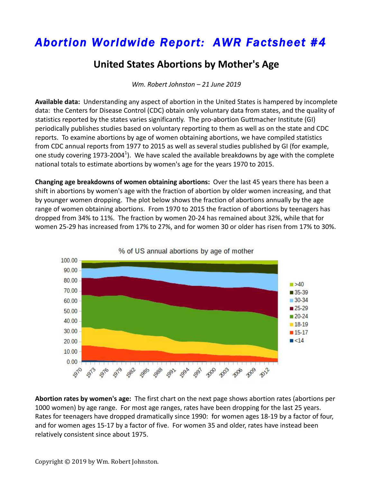## *Abortion Worldwide Report: AWR Factsheet #4*

## **United States Abortions by Mother's Age**

*Wm. Robert Johnston – 21 June 2019*

**Available data:** Understanding any aspect of abortion in the United States is hampered by incomplete data: the Centers for Disease Control (CDC) obtain only voluntary data from states, and the quality of statistics reported by the states varies significantly. The pro-abortion Guttmacher Institute (GI) periodically publishes studies based on voluntary reporting to them as well as on the state and CDC reports. To examine abortions by age of women obtaining abortions, we have compiled statistics from CDC annual reports from 1977 to 2015 as well as several studies published by GI (for example, one study covering 1973-2004<sup>1</sup>). We have scaled the available breakdowns by age with the complete national totals to estimate abortions by women's age for the years 1970 to 2015.

**Changing age breakdowns of women obtaining abortions:** Over the last 45 years there has been a shift in abortions by women's age with the fraction of abortion by older women increasing, and that by younger women dropping. The plot below shows the fraction of abortions annually by the age range of women obtaining abortions. From 1970 to 2015 the fraction of abortions by teenagers has dropped from 34% to 11%. The fraction by women 20-24 has remained about 32%, while that for women 25-29 has increased from 17% to 27%, and for women 30 or older has risen from 17% to 30%.



**Abortion rates by women's age:** The first chart on the next page shows abortion rates (abortions per 1000 women) by age range. For most age ranges, rates have been dropping for the last 25 years. Rates for teenagers have dropped dramatically since 1990: for women ages 18-19 by a factor of four, and for women ages 15-17 by a factor of five. For women 35 and older, rates have instead been relatively consistent since about 1975.